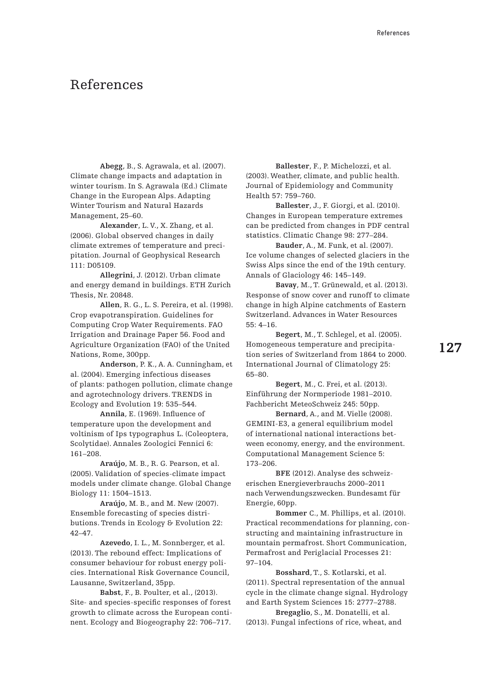**Abegg**, B., S. Agrawala, et al. (2007). Climate change impacts and adaptation in winter tourism. In S. Agrawala (Ed.) Climate Change in the European Alps. Adapting Winter Tourism and Natural Hazards Management, 25–60.

**Alexander**, L. V., X. Zhang, et al. (2006). Global observed changes in daily climate extremes of temperature and precipitation. Journal of Geophysical Research 111: D05109.

**Allegrini**, J. (2012). Urban climate and energy demand in buildings. ETH Zurich Thesis, Nr. 20848.

**Allen**, R. G., L. S. Pereira, et al. (1998). Crop evapotranspiration. Guidelines for Computing Crop Water Requirements. FAO Irrigation and Drainage Paper 56. Food and Agriculture Organization (FAO) of the United Nations, Rome, 300pp.

 **Anderson**, P. K., A. A. Cunningham, et al. (2004). Emerging infectious diseases of plants: pathogen pollution, climate change and agrotechnology drivers. TRENDS in Ecology and Evolution 19: 535–544.

**Annila**, E. (1969). Influence of temperature upon the development and voltinism of Ips typographus L. (Coleoptera, Scolytidae). Annales Zoologici Fennici 6: 161–208.

**Araújo**, M. B., R. G. Pearson, et al. (2005). Validation of species-climate impact models under climate change. Global Change Biology 11: 1504–1513.

 **Araújo**, M. B., and M. New (2007). Ensemble forecasting of species distributions. Trends in Ecology & Evolution 22: 42–47.

**Azevedo**, I. L., M. Sonnberger, et al. (2013). The rebound effect: Implications of consumer behaviour for robust energy policies. International Risk Governance Council, Lausanne, Switzerland, 35pp.

**Babst**, F., B. Poulter, et al., (2013). Site- and species-specific responses of forest growth to climate across the European continent. Ecology and Biogeography 22: 706–717.

**Ballester**, F., P. Michelozzi, et al. (2003). Weather, climate, and public health. Journal of Epidemiology and Community Health 57: 759–760.

**Ballester**, J., F. Giorgi, et al. (2010). Changes in European temperature extremes can be predicted from changes in PDF central statistics. Climatic Change 98: 277–284.

**Bauder**, A., M. Funk, et al. (2007). Ice volume changes of selected glaciers in the Swiss Alps since the end of the 19th century. Annals of Glaciology 46: 145–149.

**Bavay**, M., T. Grünewald, et al. (2013). Response of snow cover and runoff to climate change in high Alpine catchments of Eastern Switzerland. Advances in Water Resources 55: 4–16.

**Begert**, M., T. Schlegel, et al. (2005). Homogeneous temperature and precipitation series of Switzerland from 1864 to 2000. International Journal of Climatology 25: 65–80.

**Begert**, M., C. Frei, et al. (2013). Einführung der Normperiode 1981–2010. Fachbericht MeteoSchweiz 245: 50pp.

**Bernard**, A., and M. Vielle (2008). GEMINI-E3, a general equilibrium model of international national interactions between economy, energy, and the environment. Computational Management Science 5: 173–206.

**BFE** (2012). Analyse des schweizerischen Energieverbrauchs 2000–2011 nach Verwendungszwecken. Bundesamt für Energie, 60pp.

**Bommer** C., M. Phillips, et al. (2010). Practical recommendations for planning, constructing and maintaining infrastructure in mountain permafrost. Short Communication, Permafrost and Periglacial Processes 21: 97–104.

**Bosshard**, T., S. Kotlarski, et al. (2011). Spectral representation of the annual cycle in the climate change signal. Hydrology and Earth System Sciences 15: 2777–2788.

**Bregaglio**, S., M. Donatelli, et al. (2013). Fungal infections of rice, wheat, and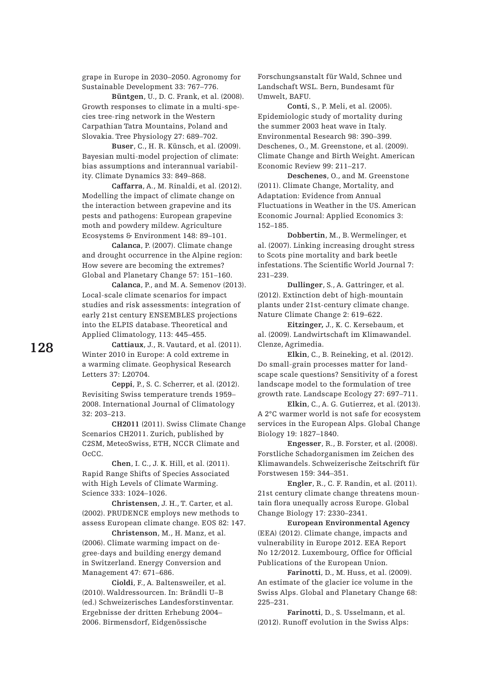grape in Europe in 2030–2050. Agronomy for Sustainable Development 33: 767–776.

**Büntgen**, U., D. C. Frank, et al. (2008). Growth responses to climate in a multi-species tree-ring network in the Western Carpathian Tatra Mountains, Poland and Slovakia. Tree Physiology 27: 689–702.

**Buser**, C., H. R. Künsch, et al. (2009). Bayesian multi-model projection of climate: bias assumptions and interannual variability. Climate Dynamics 33: 849–868.

**Caffarra**, A., M. Rinaldi, et al. (2012). Modelling the impact of climate change on the interaction between grapevine and its pests and pathogens: European grapevine moth and powdery mildew. Agriculture Ecosystems & Environment 148: 89–101.

**Calanca**, P. (2007). Climate change and drought occurrence in the Alpine region: How severe are becoming the extremes? Global and Planetary Change 57: 151–160.

**Calanca**, P., and M. A. Semenov (2013). Local-scale climate scenarios for impact studies and risk assessments: integration of early 21st century ENSEMBLES projections into the ELPIS database. Theoretical and Applied Climatology, 113: 445–455.

**Cattiaux**, J., R. Vautard, et al. (2011). Winter 2010 in Europe: A cold extreme in a warming climate. Geophysical Research Letters 37: L20704.

**Ceppi**, P., S. C. Scherrer, et al. (2012). Revisiting Swiss temperature trends 1959– 2008. International Journal of Climatology 32: 203–213.

**CH2011** (2011). Swiss Climate Change Scenarios CH2011. Zurich, published by C2SM, MeteoSwiss, ETH, NCCR Climate and OcCC.

**Chen**, I. C., J. K. Hill, et al. (2011). Rapid Range Shifts of Species Associated with High Levels of Climate Warming. Science 333: 1024–1026.

**Christensen**, J. H., T. Carter, et al. (2002). PRUDENCE employs new methods to assess European climate change. EOS 82: 147.

**Christenson**, M., H. Manz, et al. (2006). Climate warming impact on degree-days and building energy demand in Switzerland. Energy Conversion and Management 47: 671–686.

**Cioldi**, F., A. Baltensweiler, et al. (2010). Waldressourcen. In: Brändli U–B (ed.) Schweizerisches Landesforstinventar. Ergebnisse der dritten Erhebung 2004– 2006. Birmensdorf, Eidgenössische

Forschungsanstalt für Wald, Schnee und Landschaft WSL. Bern, Bundesamt für Umwelt, BAFU.

**Conti**, S., P. Meli, et al. (2005). Epidemiologic study of mortality during the summer 2003 heat wave in Italy. Environmental Research 98: 390–399. Deschenes, O., M. Greenstone, et al. (2009). Climate Change and Birth Weight. American Economic Review 99: 211–217.

**Deschenes**, O., and M. Greenstone (2011). Climate Change, Mortality, and Adaptation: Evidence from Annual Fluctuations in Weather in the US. American Economic Journal: Applied Economics 3: 152–185.

**Dobbertin**, M., B. Wermelinger, et al. (2007). Linking increasing drought stress to Scots pine mortality and bark beetle infestations. The Scientific World Journal 7: 231–239.

**Dullinger**, S., A. Gattringer, et al. (2012). Extinction debt of high-mountain plants under 21st-century climate change. Nature Climate Change 2: 619–622.

**Eitzinger,** J., K. C. Kersebaum, et al. (2009). Landwirtschaft im Klimawandel. Clenze, Agrimedia.

**Elkin**, C., B. Reineking, et al. (2012). Do small-grain processes matter for landscape scale questions? Sensitivity of a forest landscape model to the formulation of tree growth rate. Landscape Ecology 27: 697–711.

**Elkin**, C., A. G. Gutierrez, et al. (2013). A 2°C warmer world is not safe for ecosystem services in the European Alps. Global Change Biology 19: 1827–1840.

**Engesser**, R., B. Forster, et al. (2008). Forstliche Schadorganismen im Zeichen des Klimawandels. Schweizerische Zeitschrift für Forstwesen 159: 344–351.

**Engler**, R., C. F. Randin, et al. (2011). 21st century climate change threatens mountain flora unequally across Europe. Global Change Biology 17: 2330–2341.

**European Environmental Agency** (EEA) (2012). Climate change, impacts and vulnerability in Europe 2012. EEA Report No 12/2012. Luxembourg, Office for Official Publications of the European Union.

**Farinotti**, D., M. Huss, et al. (2009). An estimate of the glacier ice volume in the Swiss Alps. Global and Planetary Change 68: 225–231.

**Farinotti**, D., S. Usselmann, et al. (2012). Runoff evolution in the Swiss Alps: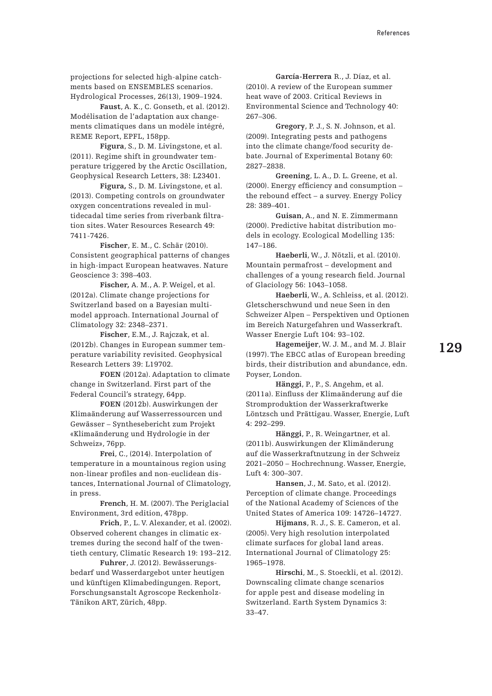projections for selected high-alpine catchments based on ENSEMBLES scenarios. Hydrological Processes, 26(13), 1909–1924.

**Faust**, A. K., C. Gonseth, et al. (2012). Modélisation de l'adaptation aux changements climatiques dans un modèle intégré, REME Report, EPFL, 158pp.

**Figura**, S., D. M. Livingstone, et al. (2011). Regime shift in groundwater temperature triggered by the Arctic Oscillation, Geophysical Research Letters, 38: L23401.

**Figura,** S., D. M. Livingstone, et al. (2013). Competing controls on groundwater oxygen concentrations revealed in multidecadal time series from riverbank filtration sites. Water Resources Research 49: 7411-7426.

**Fischer**, E. M., C. Schär (2010). Consistent geographical patterns of changes in high-impact European heatwaves. Nature Geoscience 3: 398–403.

**Fischer,** A. M., A. P. Weigel, et al. (2012a). Climate change projections for Switzerland based on a Bayesian multimodel approach. International Journal of Climatology 32: 2348–2371.

**Fischer**, E.M., J. Rajczak, et al. (2012b). Changes in European summer temperature variability revisited. Geophysical Research Letters 39: L19702.

**FOEN** (2012a). Adaptation to climate change in Switzerland. First part of the Federal Council's strategy, 64pp.

**FOEN** (2012b). Auswirkungen der Klimaänderung auf Wasserressourcen und Gewässer – Synthesebericht zum Projekt «Klimaänderung und Hydrologie in der Schweiz», 76pp.

**Frei**, C., (2014). Interpolation of temperature in a mountainous region using non-linear profiles and non-euclidean distances, International Journal of Climatology, in press.

**French**, H. M. (2007). The Periglacial Environment, 3rd edition, 478pp.

**Frich**, P., L. V. Alexander, et al. (2002). Observed coherent changes in climatic extremes during the second half of the twentieth century, Climatic Research 19: 193–212.

**Fuhrer**, J. (2012). Bewässerungsbedarf und Wasserdargebot unter heutigen und künftigen Klimabedingungen. Report, Forschungsanstalt Agroscope Reckenholz-Tänikon ART, Zürich, 48pp.

**García-Herrera** R., J. Díaz, et al. (2010). A review of the European summer heat wave of 2003. Critical Reviews in Environmental Science and Technology 40: 267–306.

**Gregory**, P. J., S. N. Johnson, et al. (2009). Integrating pests and pathogens into the climate change/food security debate. Journal of Experimental Botany 60: 2827–2838.

**Greening**, L. A., D. L. Greene, et al. (2000). Energy efficiency and consumption – the rebound effect – a survey. Energy Policy 28: 389–401.

**Guisan**, A., and N. E. Zimmermann (2000). Predictive habitat distribution models in ecology. Ecological Modelling 135: 147–186.

**Haeberli**, W., J. Nötzli, et al. (2010). Mountain permafrost – development and challenges of a young research field. Journal of Glaciology 56: 1043–1058.

**Haeberli**, W., A. Schleiss, et al. (2012). Gletscherschwund und neue Seen in den Schweizer Alpen – Perspektiven und Optionen im Bereich Naturgefahren und Wasserkraft. Wasser Energie Luft 104: 93–102.

**Hagemeijer**, W. J. M., and M. J. Blair (1997). The EBCC atlas of European breeding birds, their distribution and abundance, edn. Poyser, London.

**Hänggi**, P., P., S. Angehm, et al. (2011a). Einfluss der Klimaänderung auf die Stromproduktion der Wasserkraftwerke Löntzsch und Prättigau. Wasser, Energie, Luft 4: 292–299.

**Hänggi**, P., R. Weingartner, et al. (2011b). Auswirkungen der Klimänderung auf die Wasserkraftnutzung in der Schweiz 2021–2050 – Hochrechnung. Wasser, Energie, Luft 4: 300–307.

**Hansen**, J., M. Sato, et al. (2012). Perception of climate change. Proceedings of the National Academy of Sciences of the United States of America 109: 14726–14727.

**Hijmans**, R. J., S. E. Cameron, et al. (2005). Very high resolution interpolated climate surfaces for global land areas. International Journal of Climatology 25: 1965–1978.

**Hirschi**, M., S. Stoeckli, et al. (2012). Downscaling climate change scenarios for apple pest and disease modeling in Switzerland. Earth System Dynamics 3: 33–47.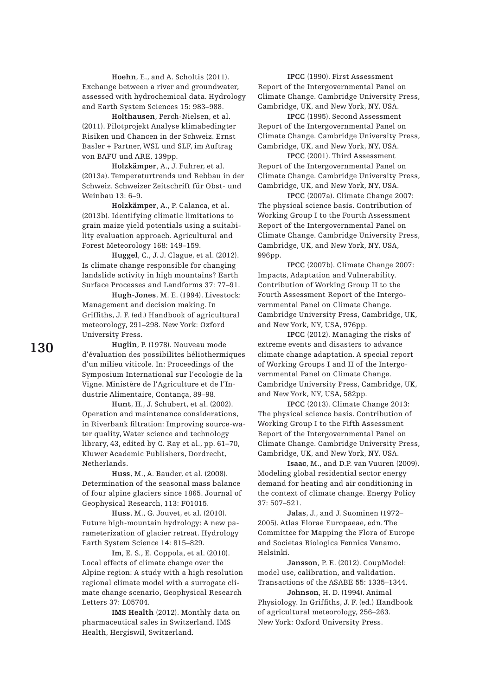**Hoehn**, E., and A. Scholtis (2011). Exchange between a river and groundwater, assessed with hydrochemical data. Hydrology and Earth System Sciences 15: 983–988.

**Holthausen**, Perch-Nielsen, et al. (2011). Pilotprojekt Analyse klimabedingter Risiken und Chancen in der Schweiz. Ernst Basler + Partner, WSL und SLF, im Auftrag von BAFU und ARE, 139pp.

**Holzkämper**, A., J. Fuhrer, et al. (2013a). Temperaturtrends und Rebbau in der Schweiz. Schweizer Zeitschrift für Obst- und Weinbau 13: 6–9.

**Holzkämper**, A., P. Calanca, et al. (2013b). Identifying climatic limitations to grain maize yield potentials using a suitability evaluation approach. Agricultural and Forest Meteorology 168: 149–159.

**Huggel**, C., J. J. Clague, et al. (2012). Is climate change responsible for changing landslide activity in high mountains? Earth Surface Processes and Landforms 37: 77–91.

**Hugh-Jones**, M. E. (1994). Livestock: Management and decision making. In Griffiths, J. F. (ed.) Handbook of agricultural meteorology, 291–298. New York: Oxford University Press.

**Huglin**, P. (1978). Nouveau mode d'évaluation des possibilites héliothermiques d'un milieu viticole. In: Proceedings of the Symposium International sur l'ecologie de la Vigne. Ministère de l'Agriculture et de l'Industrie Alimentaire, Contança, 89–98.

**Hunt**, H., J. Schubert, et al. (2002). Operation and maintenance considerations, in Riverbank filtration: Improving source-water quality, Water science and technology library, 43, edited by C. Ray et al., pp. 61–70, Kluwer Academic Publishers, Dordrecht, Netherlands.

**Huss**, M., A. Bauder, et al. (2008). Determination of the seasonal mass balance of four alpine glaciers since 1865. Journal of Geophysical Research, 113: F01015.

**Huss**, M., G. Jouvet, et al. (2010). Future high-mountain hydrology: A new parameterization of glacier retreat. Hydrology Earth System Science 14: 815–829.

**Im**, E. S., E. Coppola, et al. (2010). Local effects of climate change over the Alpine region: A study with a high resolution regional climate model with a surrogate climate change scenario, Geophysical Research Letters 37: L05704.

**IMS Health** (2012). Monthly data on pharmaceutical sales in Switzerland. IMS Health, Hergiswil, Switzerland.

**IPCC** (1990). First Assessment Report of the Intergovernmental Panel on Climate Change. Cambridge University Press, Cambridge, UK, and New York, NY, USA.

**IPCC** (1995). Second Assessment Report of the Intergovernmental Panel on Climate Change. Cambridge University Press, Cambridge, UK, and New York, NY, USA.

**IPCC** (2001). Third Assessment Report of the Intergovernmental Panel on Climate Change. Cambridge University Press, Cambridge, UK, and New York, NY, USA.

**IPCC** (2007a). Climate Change 2007: The physical science basis. Contribution of Working Group I to the Fourth Assessment Report of the Intergovernmental Panel on Climate Change. Cambridge University Press, Cambridge, UK, and New York, NY, USA, 996pp.

**IPCC** (2007b). Climate Change 2007: Impacts, Adaptation and Vulnerability. Contribution of Working Group II to the Fourth Assessment Report of the Intergovernmental Panel on Climate Change. Cambridge University Press, Cambridge, UK, and New York, NY, USA, 976pp.

**IPCC** (2012). Managing the risks of extreme events and disasters to advance climate change adaptation. A special report of Working Groups I and II of the Intergovernmental Panel on Climate Change. Cambridge University Press, Cambridge, UK, and New York, NY, USA, 582pp.

**IPCC** (2013). Climate Change 2013: The physical science basis. Contribution of Working Group I to the Fifth Assessment Report of the Intergovernmental Panel on Climate Change. Cambridge University Press, Cambridge, UK, and New York, NY, USA.

**Isaac**, M., and D.P. van Vuuren (2009). Modeling global residential sector energy demand for heating and air conditioning in the context of climate change. Energy Policy 37: 507–521.

**Jalas**, J., and J. Suominen (1972– 2005). Atlas Florae Europaeae, edn. The Committee for Mapping the Flora of Europe and Societas Biologica Fennica Vanamo, Helsinki.

**Jansson**, P. E. (2012). CoupModel: model use, calibration, and validation. Transactions of the ASABE 55: 1335–1344.

**Johnson**, H. D. (1994). Animal Physiology. In Griffiths, J. F. (ed.) Handbook of agricultural meteorology, 256–263. New York: Oxford University Press.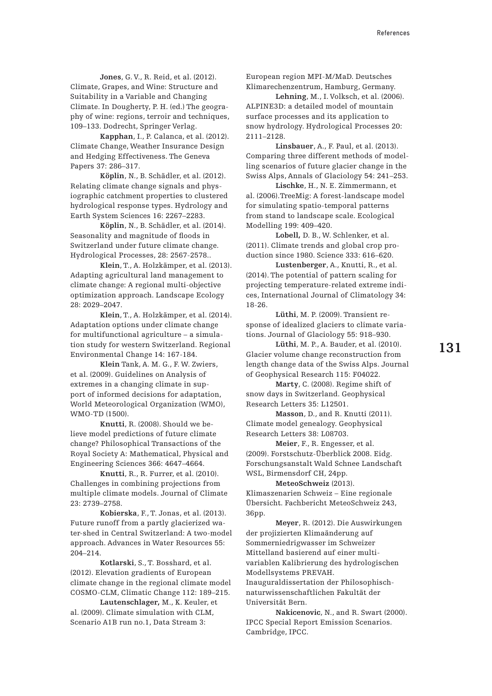**Jones**, G. V., R. Reid, et al. (2012). Climate, Grapes, and Wine: Structure and Suitability in a Variable and Changing Climate. In Dougherty, P. H. (ed.) The geography of wine: regions, terroir and techniques, 109–133. Dodrecht, Springer Verlag.

**Kapphan**, I., P. Calanca, et al. (2012). Climate Change, Weather Insurance Design and Hedging Effectiveness. The Geneva Papers 37: 286–317.

**Köplin**, N., B. Schädler, et al. (2012). Relating climate change signals and physiographic catchment properties to clustered hydrological response types. Hydrology and Earth System Sciences 16: 2267–2283.

**Köplin**, N., B. Schädler, et al. (2014). Seasonality and magnitude of floods in Switzerland under future climate change. Hydrological Processes, 28: 2567-2578..

**Klein**, T., A. Holzkämper, et al. (2013). Adapting agricultural land management to climate change: A regional multi-objective optimization approach. Landscape Ecology 28: 2029–2047.

**Klein**, T., A. Holzkämper, et al. (2014). Adaptation options under climate change for multifunctional agriculture – a simulation study for western Switzerland. Regional Environmental Change 14: 167-184.

**Klein** Tank, A. M. G., F. W. Zwiers, et al. (2009). Guidelines on Analysis of extremes in a changing climate in support of informed decisions for adaptation, World Meteorological Organization (WMO), WMO-TD (1500).

**Knutti**, R. (2008). Should we believe model predictions of future climate change? Philosophical Transactions of the Royal Society A: Mathematical, Physical and Engineering Sciences 366: 4647–4664.

**Knutti**, R., R. Furrer, et al. (2010). Challenges in combining projections from multiple climate models. Journal of Climate 23: 2739–2758.

**Kobierska**, F., T. Jonas, et al. (2013). Future runoff from a partly glacierized water-shed in Central Switzerland: A two-model approach. Advances in Water Resources 55: 204–214.

**Kotlarski**, S., T. Bosshard, et al. (2012). Elevation gradients of European climate change in the regional climate model COSMO-CLM, Climatic Change 112: 189–215.

**Lautenschlager,** M., K. Keuler, et al. (2009). Climate simulation with CLM, Scenario A1B run no.1, Data Stream 3:

European region MPI-M/MaD. Deutsches Klimarechenzentrum, Hamburg, Germany.

**Lehning**, M., I. Volksch, et al. (2006). ALPINE3D: a detailed model of mountain surface processes and its application to snow hydrology. Hydrological Processes 20: 2111–2128.

**Linsbauer**, A., F. Paul, et al. (2013). Comparing three different methods of modelling scenarios of future glacier change in the Swiss Alps, Annals of Glaciology 54: 241–253.

**Lischke**, H., N. E. Zimmermann, et al. (2006).TreeMig: A forest-landscape model for simulating spatio-temporal patterns from stand to landscape scale. Ecological Modelling 199: 409–420.

**Lobell,** D. B., W. Schlenker, et al. (2011). Climate trends and global crop production since 1980. Science 333: 616–620.

**Lustenberger**, A., Knutti, R., et al. (2014). The potential of pattern scaling for projecting temperature-related extreme indices, International Journal of Climatology 34: 18-26.

**Lüthi**, M. P. (2009). Transient response of idealized glaciers to climate variations. Journal of Glaciology 55: 918–930.

**Lüthi**, M. P., A. Bauder, et al. (2010). Glacier volume change reconstruction from length change data of the Swiss Alps. Journal of Geophysical Research 115: F04022.

 **Marty**, C. (2008). Regime shift of snow days in Switzerland. Geophysical Research Letters 35: L12501.

**Masson**, D., and R. Knutti (2011). Climate model genealogy. Geophysical Research Letters 38: L08703.

 **Meier**, F., R. Engesser, et al. (2009). Forstschutz-Überblick 2008. Eidg. Forschungsanstalt Wald Schnee Landschaft WSL, Birmensdorf CH, 24pp.

 **MeteoSchweiz** (2013). Klimaszenarien Schweiz – Eine regionale Übersicht. Fachbericht MeteoSchweiz 243, 36pp.

 **Meyer**, R. (2012). Die Auswirkungen der projizierten Klimaänderung auf Sommerniedrigwasser im Schweizer Mittelland basierend auf einer multivariablen Kalibrierung des hydrologischen Modellsystems PREVAH. Inauguraldissertation der Philosophischnaturwissenschaftlichen Fakultät der Universität Bern.

**Nakicenovic**, N., and R. Swart (2000). IPCC Special Report Emission Scenarios. Cambridge, IPCC.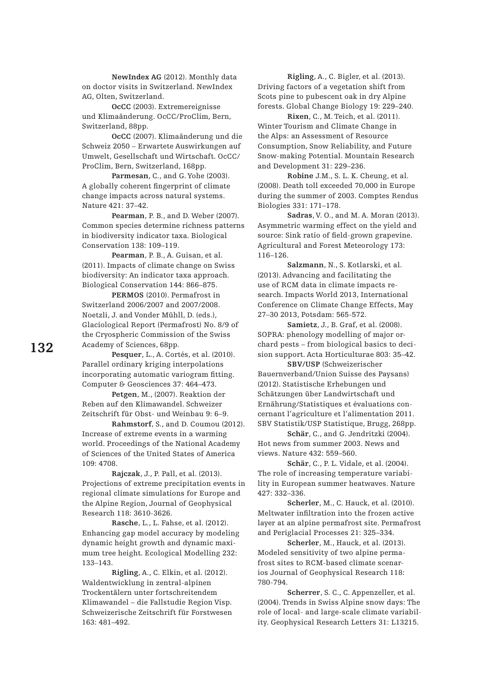**NewIndex AG** (2012). Monthly data on doctor visits in Switzerland. NewIndex AG, Olten, Switzerland.

**OcCC** (2003). Extremereignisse und Klimaänderung. OcCC/ProClim, Bern, Switzerland, 88pp.

**OcCC** (2007). Klimaänderung und die Schweiz 2050 – Erwartete Auswirkungen auf Umwelt, Gesellschaft und Wirtschaft. OcCC/ ProClim, Bern, Switzerland, 168pp.

 **Parmesan**, C., and G. Yohe (2003). A globally coherent fingerprint of climate change impacts across natural systems. Nature 421: 37–42.

**Pearman**, P. B., and D. Weber (2007). Common species determine richness patterns in biodiversity indicator taxa. Biological Conservation 138: 109–119.

**Pearman**, P. B., A. Guisan, et al. (2011). Impacts of climate change on Swiss biodiversity: An indicator taxa approach. Biological Conservation 144: 866–875.

**PERMOS** (2010). Permafrost in Switzerland 2006/2007 and 2007/2008. Noetzli, J. and Vonder Mühll, D. (eds.), Glaciological Report (Permafrost) No. 8/9 of the Cryospheric Commission of the Swiss Academy of Sciences, 68pp.

**Pesquer**, L., A. Cortés, et al. (2010). Parallel ordinary kriging interpolations incorporating automatic variogram fitting. Computer & Geosciences 37: 464–473.

**Petgen**, M., (2007). Reaktion der Reben auf den Klimawandel. Schweizer Zeitschrift für Obst- und Weinbau 9: 6–9.

**Rahmstorf**, S., and D. Coumou (2012). Increase of extreme events in a warming world. Proceedings of the National Academy of Sciences of the United States of America 109: 4708.

**Rajczak**, J., P. Pall, et al. (2013). Projections of extreme precipitation events in regional climate simulations for Europe and the Alpine Region, Journal of Geophysical Research 118: 3610-3626.

**Rasche**, L., L. Fahse, et al. (2012). Enhancing gap model accuracy by modeling dynamic height growth and dynamic maximum tree height. Ecological Modelling 232: 133–143.

**Rigling**, A., C. Elkin, et al. (2012). Waldentwicklung in zentral-alpinen Trockentälern unter fortschreitendem Klimawandel – die Fallstudie Region Visp. Schweizerische Zeitschrift für Forstwesen 163: 481–492.

**Rigling**, A., C. Bigler, et al. (2013). Driving factors of a vegetation shift from Scots pine to pubescent oak in dry Alpine forests. Global Change Biology 19: 229–240.

**Rixen**, C., M. Teich, et al. (2011). Winter Tourism and Climate Change in the Alps: an Assessment of Resource Consumption, Snow Reliability, and Future Snow-making Potential. Mountain Research and Development 31: 229–236.

**Robine** J.M., S. L. K. Cheung, et al. (2008). Death toll exceeded 70,000 in Europe during the summer of 2003. Comptes Rendus Biologies 331: 171–178.

**Sadras**, V. O., and M. A. Moran (2013). Asymmetric warming effect on the yield and source: Sink ratio of field-grown grapevine. Agricultural and Forest Meteorology 173: 116–126.

**Salzmann**, N., S. Kotlarski, et al. (2013). Advancing and facilitating the use of RCM data in climate impacts research. Impacts World 2013, International Conference on Climate Change Effects, May 27–30 2013, Potsdam: 565-572.

**Samietz**, J., B. Graf, et al. (2008). SOPRA: phenology modelling of major orchard pests – from biological basics to decision support. Acta Horticulturae 803: 35–42.

**SBV/USP** (Schweizerischer Bauernverband/Union Suisse des Paysans) (2012). Statistische Erhebungen und Schätzungen über Landwirtschaft und Ernährung/Statistiques et évaluations concernant l'agriculture et l'alimentation 2011. SBV Statistik/USP Statistique, Brugg, 268pp.

**Schär**, C., and G. Jendritzki (2004). Hot news from summer 2003. News and views. Nature 432: 559–560.

**Schär**, C., P. L. Vidale, et al. (2004). The role of increasing temperature variability in European summer heatwaves. Nature 427: 332–336.

**Scherler**, M., C. Hauck, et al. (2010). Meltwater infiltration into the frozen active layer at an alpine permafrost site. Permafrost and Periglacial Processes 21: 325–334.

**Scherler**, M., Hauck, et al. (2013). Modeled sensitivity of two alpine permafrost sites to RCM-based climate scenarios Journal of Geophysical Research 118: 780-794.

**Scherrer**, S. C., C. Appenzeller, et al. (2004). Trends in Swiss Alpine snow days: The role of local- and large-scale climate variability. Geophysical Research Letters 31: L13215.

**132**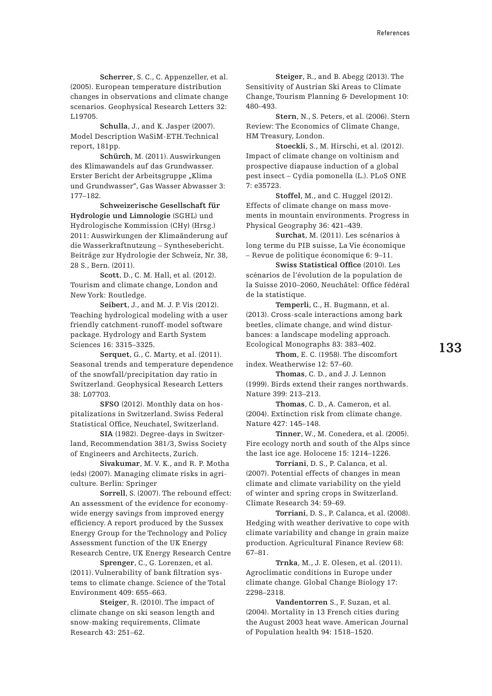**Scherrer**, S. C., C. Appenzeller, et al. (2005). European temperature distribution changes in observations and climate change scenarios. Geophysical Research Letters 32: L19705.

**Schulla**, J., and K. Jasper (2007). Model Description WaSiM-ETH.Technical report, 181pp.

**Schürch**, M. (2011). Auswirkungen des Klimawandels auf das Grundwasser. Erster Bericht der Arbeitsgruppe "Klima und Grundwasser", Gas Wasser Abwasser 3: 177–182.

 **Schweizerische Gesellschaft für Hydrologie und Limnologie** (SGHL) und Hydrologische Kommission (CHy) (Hrsg.) 2011: Auswirkungen der Klimaänderung auf die Wasserkraftnutzung – Synthesebericht. Beiträge zur Hydrologie der Schweiz, Nr. 38, 28 S., Bern. (2011).

**Scott**, D., C. M. Hall, et al. (2012). Tourism and climate change, London and New York: Routledge.

**Seibert**, J., and M. J. P. Vis (2012). Teaching hydrological modeling with a user friendly catchment-runoff-model software package. Hydrology and Earth System Sciences 16: 3315–3325.

**Serquet**, G., C. Marty, et al. (2011). Seasonal trends and temperature dependence of the snowfall/precipitation day ratio in Switzerland. Geophysical Research Letters 38: L07703.

 **SFSO** (2012). Monthly data on hospitalizations in Switzerland. Swiss Federal Statistical Office, Neuchatel, Switzerland.

**SIA** (1982). Degree-days in Switzerland, Recommendation 381/3, Swiss Society of Engineers and Architects, Zurich.

**Sivakumar**, M. V. K., and R. P. Motha (eds) (2007). Managing climate risks in agriculture. Berlin: Springer

 **Sorrell**, S. (2007). The rebound effect: An assessment of the evidence for economywide energy savings from improved energy efficiency. A report produced by the Sussex Energy Group for the Technology and Policy Assessment function of the UK Energy Research Centre, UK Energy Research Centre

 **Sprenger**, C., G. Lorenzen, et al. (2011). Vulnerability of bank filtration systems to climate change. Science of the Total Environment 409: 655–663.

 **Steiger**, R. (2010). The impact of climate change on ski season length and snow-making requirements, Climate Research 43: 251–62.

**Steiger**, R., and B. Abegg (2013). The Sensitivity of Austrian Ski Areas to Climate Change, Tourism Planning & Development 10: 480–493.

**Stern**, N., S. Peters, et al. (2006). Stern Review: The Economics of Climate Change, HM Treasury, London.

 **Stoeckli**, S., M. Hirschi, et al. (2012). Impact of climate change on voltinism and prospective diapause induction of a global pest insect – Cydia pomonella (L.). PLoS ONE 7: e35723.

 **Stoffel**, M., and C. Huggel (2012). Effects of climate change on mass movements in mountain environments. Progress in Physical Geography 36: 421–439.

 **Surchat**, M. (2011). Les scénarios à long terme du PIB suisse, La Vie économique – Revue de politique économique 6: 9–11.

 **Swiss Statistical Office** (2010). Les scénarios de l'évolution de la population de la Suisse 2010–2060, Neuchâtel: Office fédéral de la statistique.

 **Temperli**, C., H. Bugmann, et al. (2013). Cross-scale interactions among bark beetles, climate change, and wind disturbances: a landscape modeling approach. Ecological Monographs 83: 383–402.

**Thom**, E. C. (1958). The discomfort index. Weatherwise 12: 57–60.

**Thomas**, C. D., and J. J. Lennon (1999). Birds extend their ranges northwards. Nature 399: 213–213.

**Thomas**, C. D., A. Cameron, et al. (2004). Extinction risk from climate change. Nature 427: 145–148.

**Tinner**, W., M. Conedera, et al. (2005). Fire ecology north and south of the Alps since the last ice age. Holocene 15: 1214–1226.

**Torriani**, D. S., P. Calanca, et al. (2007). Potential effects of changes in mean climate and climate variability on the yield of winter and spring crops in Switzerland. Climate Research 34: 59–69.

**Torriani**, D. S., P. Calanca, et al. (2008). Hedging with weather derivative to cope with climate variability and change in grain maize production. Agricultural Finance Review 68: 67–81.

**Trnka**, M., J. E. Olesen, et al. (2011). Agroclimatic conditions in Europe under climate change. Global Change Biology 17: 2298–2318.

**Vandentorren** S., F. Suzan, et al. (2004). Mortality in 13 French cities during the August 2003 heat wave. American Journal of Population health 94: 1518–1520.